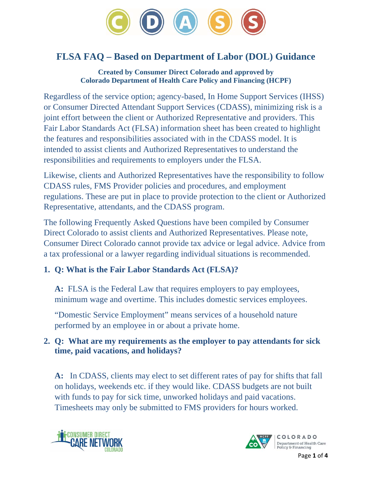

# **FLSA FAQ – Based on Department of Labor (DOL) Guidance**

**Created by Consumer Direct Colorado and approved by Colorado Department of Health Care Policy and Financing (HCPF)** 

Regardless of the service option; agency-based, In Home Support Services (IHSS) or Consumer Directed Attendant Support Services (CDASS), minimizing risk is a joint effort between the client or Authorized Representative and providers. This Fair Labor Standards Act (FLSA) information sheet has been created to highlight the features and responsibilities associated with in the CDASS model. It is intended to assist clients and Authorized Representatives to understand the responsibilities and requirements to employers under the FLSA.

Likewise, clients and Authorized Representatives have the responsibility to follow CDASS rules, FMS Provider policies and procedures, and employment regulations. These are put in place to provide protection to the client or Authorized Representative, attendants, and the CDASS program.

The following Frequently Asked Questions have been compiled by Consumer Direct Colorado to assist clients and Authorized Representatives. Please note, Consumer Direct Colorado cannot provide tax advice or legal advice. Advice from a tax professional or a lawyer regarding individual situations is recommended.

## **1. Q: What is the Fair Labor Standards Act (FLSA)?**

**A:** FLSA is the Federal Law that requires employers to pay employees, minimum wage and overtime. This includes domestic services employees.

"Domestic Service Employment" means services of a household nature performed by an employee in or about a private home.

### **2. Q: What are my requirements as the employer to pay attendants for sick time, paid vacations, and holidays?**

**A:** In CDASS, clients may elect to set different rates of pay for shifts that fall on holidays, weekends etc. if they would like. CDASS budgets are not built with funds to pay for sick time, unworked holidays and paid vacations. Timesheets may only be submitted to FMS providers for hours worked.



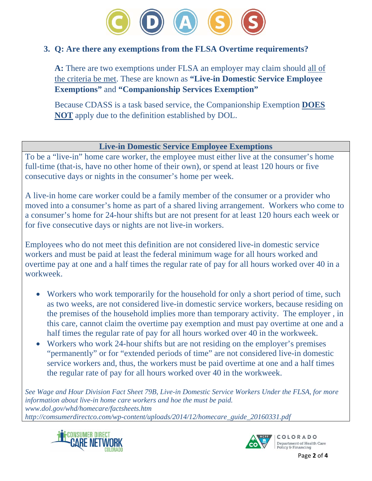

#### **3. Q: Are there any exemptions from the FLSA Overtime requirements?**

**A:** There are two exemptions under FLSA an employer may claim should all of the criteria be met. These are known as **"Live-in Domestic Service Employee Exemptions"** and **"Companionship Services Exemption"**

Because CDASS is a task based service, the Companionship Exemption **DOES NOT** apply due to the definition established by DOL.

#### **Live-in Domestic Service Employee Exemptions**

To be a "live-in" home care worker, the employee must either live at the consumer's home full-time (that-is, have no other home of their own), or spend at least 120 hours or five consecutive days or nights in the consumer's home per week.

A live-in home care worker could be a family member of the consumer or a provider who moved into a consumer's home as part of a shared living arrangement. Workers who come to a consumer's home for 24-hour shifts but are not present for at least 120 hours each week or for five consecutive days or nights are not live-in workers.

Employees who do not meet this definition are not considered live-in domestic service workers and must be paid at least the federal minimum wage for all hours worked and overtime pay at one and a half times the regular rate of pay for all hours worked over 40 in a workweek.

- Workers who work temporarily for the household for only a short period of time, such as two weeks, are not considered live-in domestic service workers, because residing on the premises of the household implies more than temporary activity. The employer , in this care, cannot claim the overtime pay exemption and must pay overtime at one and a half times the regular rate of pay for all hours worked over 40 in the workweek.
- Workers who work 24-hour shifts but are not residing on the employer's premises "permanently" or for "extended periods of time" are not considered live-in domestic service workers and, thus, the workers must be paid overtime at one and a half times the regular rate of pay for all hours worked over 40 in the workweek.

*See Wage and Hour Division Fact Sheet 79B, Live-in Domestic Service Workers Under the FLSA, for more information about live-in home care workers and hoe the must be paid. www.dol.gov/whd/homecare/factsheets.htm http://comsumerdirectco.com/wp-content/uploads/2014/12/homecare\_guide\_20160331.pdf*



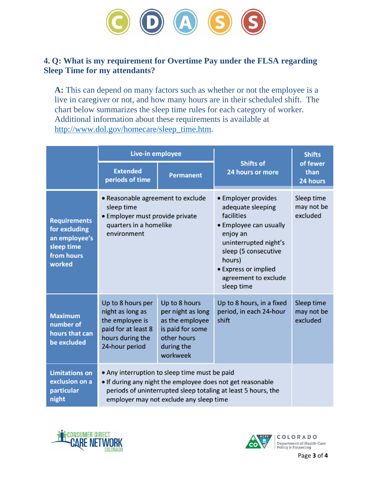

#### **4. Q: What is my requirement for Overtime Pay under the FLSA regarding Sleep Time for my attendants?**

**A:** This can depend on many factors such as whether or not the employee is a live in caregiver or not, and how many hours are in their scheduled shift. The chart below summarizes the sleep time rules for each category of worker. Additional information about these requirements is available at http://www.dol.gov/homecare/sleep\_time.htm.

|                                                                                             | Live-in employee                                                                                                                                                                                                        |                                                                                                                    |                                                                                                                                                                                                                       | <b>Shifts</b>                        |
|---------------------------------------------------------------------------------------------|-------------------------------------------------------------------------------------------------------------------------------------------------------------------------------------------------------------------------|--------------------------------------------------------------------------------------------------------------------|-----------------------------------------------------------------------------------------------------------------------------------------------------------------------------------------------------------------------|--------------------------------------|
|                                                                                             | <b>Extended</b><br>periods of time                                                                                                                                                                                      | <b>Permanent</b>                                                                                                   | <b>Shifts of</b><br>24 hours or more                                                                                                                                                                                  | of fewer<br>than<br>24 hours         |
| <b>Requirements</b><br>for excluding<br>an employee's<br>sleep time<br>from hours<br>worked | • Reasonable agreement to exclude<br>sleep time<br>• Employer must provide private<br>quarters in a homelike<br>environment                                                                                             |                                                                                                                    | • Employer provides<br>adequate sleeping<br>facilities<br>• Employee can usually<br>enjoy an<br>uninterrupted night's<br>sleep (5 consecutive<br>hours)<br>• Express or implied<br>agreement to exclude<br>sleep time | Sleep time<br>may not be<br>excluded |
| <b>Maximum</b><br>number of<br>hours that can<br>be excluded                                | Up to 8 hours per<br>night as long as<br>the employee is<br>paid for at least 8<br>hours during the<br>24-hour period                                                                                                   | Up to 8 hours<br>per night as long<br>as the employee<br>is paid for some<br>other hours<br>during the<br>workweek | Up to 8 hours, in a fixed<br>period, in each 24-hour<br>shift                                                                                                                                                         | Sleep time<br>may not be<br>excluded |
| <b>Limitations on</b><br>exclusion on a<br>particular<br>night                              | • Any interruption to sleep time must be paid<br>. If during any night the employee does not get reasonable<br>periods of uninterrupted sleep totaling at least 5 hours, the<br>employer may not exclude any sleep time |                                                                                                                    |                                                                                                                                                                                                                       |                                      |